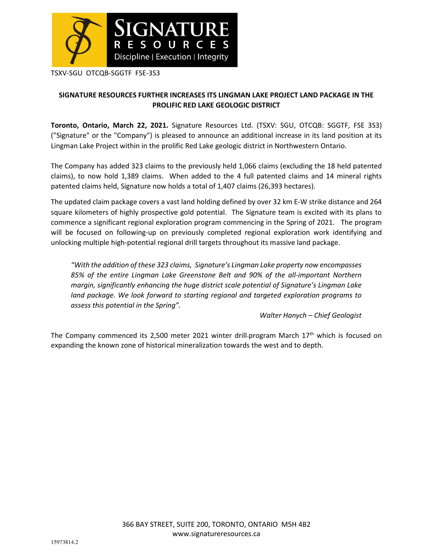

TSXV-SGU OTCQB-SGGTF FSE-3S3

# **SIGNATURE RESOURCES FURTHER INCREASES ITS LINGMAN LAKE PROJECT LAND PACKAGE IN THE PROLIFIC RED LAKE GEOLOGIC DISTRICT**

**Toronto, Ontario, March 22, 2021.** Signature Resources Ltd. (TSXV: SGU, OTCQB: SGGTF, FSE 3S3) ("Signature" or the "Company") is pleased to announce an additional increase in its land position at its Lingman Lake Project within in the prolific Red Lake geologic district in Northwestern Ontario.

The Company has added 323 claims to the previously held 1,066 claims (excluding the 18 held patented claims), to now hold 1,389 claims. When added to the 4 full patented claims and 14 mineral rights patented claims held, Signature now holds a total of 1,407 claims (26,393 hectares).

The updated claim package covers a vast land holding defined by over 32 km E-W strike distance and 264 square kilometers of highly prospective gold potential. The Signature team is excited with its plans to commence a significant regional exploration program commencing in the Spring of 2021. The program will be focused on following-up on previously completed regional exploration work identifying and unlocking multiple high-potential regional drill targets throughout its massive land package.

*"With the addition of these 323 claims, Signature's Lingman Lake property now encompasses 85% of the entire Lingman Lake Greenstone Belt and 90% of the all-important Northern margin, significantly enhancing the huge district scale potential of Signature's Lingman Lake land package. We look forward to starting regional and targeted exploration programs to assess this potential in the Spring".* 

*Walter Hanych – Chief Geologist* 

The Company commenced its 2,500 meter 2021 winter drill-program March 17<sup>th</sup> which is focused on expanding the known zone of historical mineralization towards the west and to depth.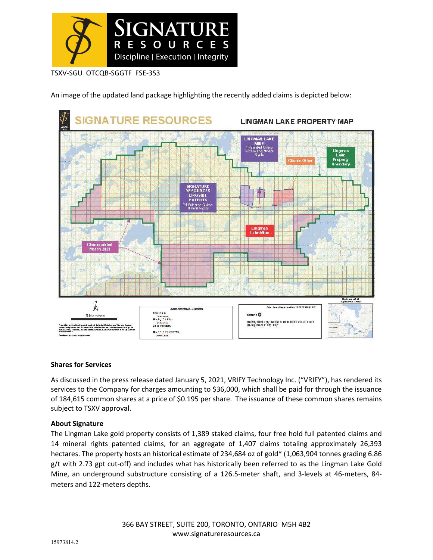

TSXV-SGU OTCQB-SGGTF FSE-3S3

An image of the updated land package highlighting the recently added claims is depicted below:



## **Shares for Services**

As discussed in the press release dated January 5, 2021, VRIFY Technology Inc. ("VRIFY"), has rendered its services to the Company for charges amounting to \$36,000, which shall be paid for through the issuance of 184,615 common shares at a price of \$0.195 per share. The issuance of these common shares remains subject to TSXV approval.

## **About Signature**

The Lingman Lake gold property consists of 1,389 staked claims, four free hold full patented claims and 14 mineral rights patented claims, for an aggregate of 1,407 claims totaling approximately 26,393 hectares. The property hosts an historical estimate of 234,684 oz of gold\* (1,063,904 tonnes grading 6.86 g/t with 2.73 gpt cut-off) and includes what has historically been referred to as the Lingman Lake Gold Mine, an underground substructure consisting of a 126.5-meter shaft, and 3-levels at 46-meters, 84 meters and 122-meters depths.